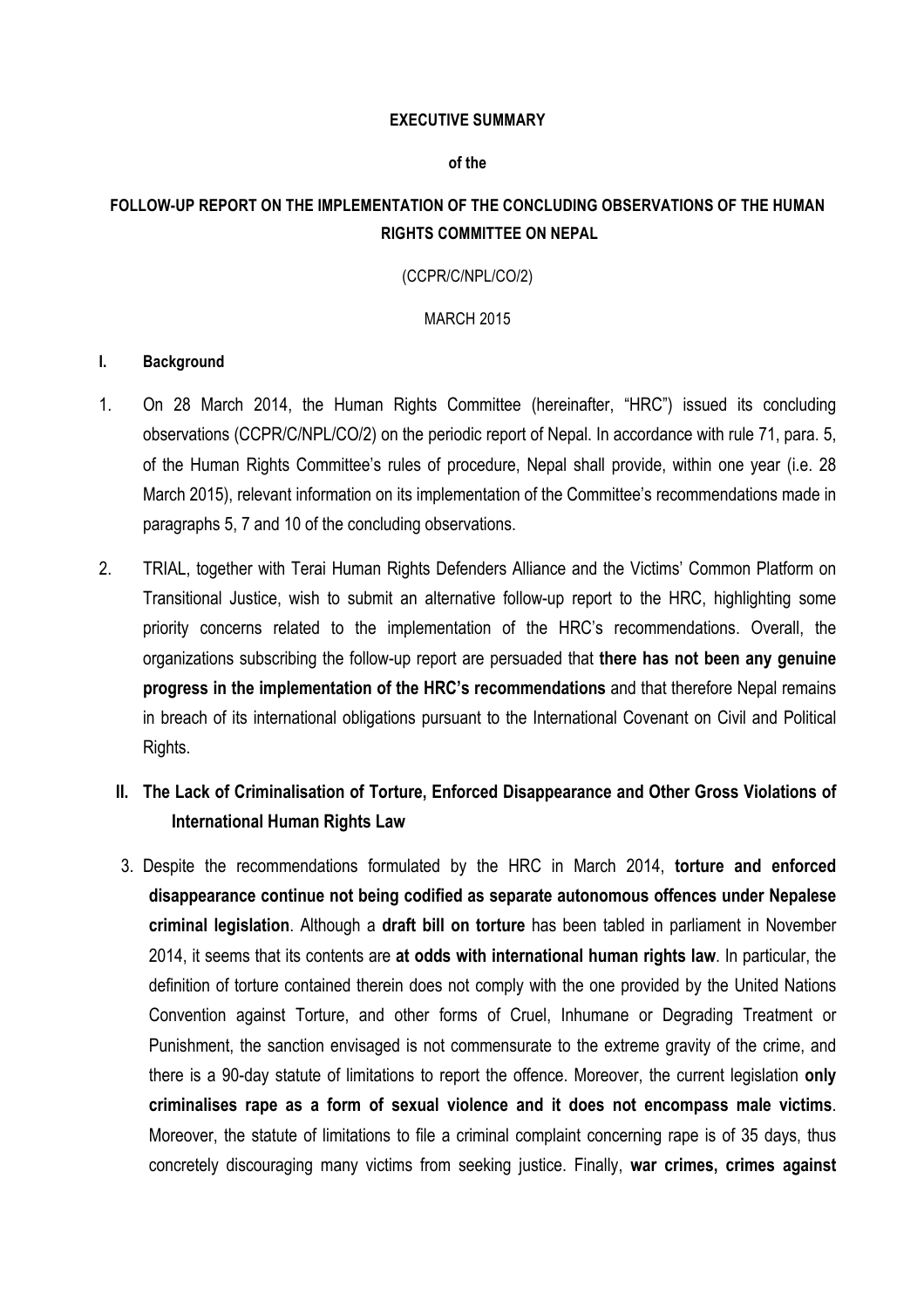### **EXECUTIVE SUMMARY**

### **of the**

### **FOLLOW-UP REPORT ON THE IMPLEMENTATION OF THE CONCLUDING OBSERVATIONS OF THE HUMAN RIGHTS COMMITTEE ON NEPAL**

#### (CCPR/C/NPL/CO/2)

#### MARCH 2015

#### **I. Background**

- 1. On 28 March 2014, the Human Rights Committee (hereinafter, "HRC") issued its concluding observations (CCPR/C/NPL/CO/2) on the periodic report of Nepal. In accordance with rule 71, para. 5, of the Human Rights Committee's rules of procedure, Nepal shall provide, within one year (i.e. 28 March 2015), relevant information on its implementation of the Committee's recommendations made in paragraphs 5, 7 and 10 of the concluding observations.
- 2. TRIAL, together with Terai Human Rights Defenders Alliance and the Victims' Common Platform on Transitional Justice, wish to submit an alternative follow-up report to the HRC, highlighting some priority concerns related to the implementation of the HRC's recommendations. Overall, the organizations subscribing the follow-up report are persuaded that **there has not been any genuine progress in the implementation of the HRC's recommendations** and that therefore Nepal remains in breach of its international obligations pursuant to the International Covenant on Civil and Political Rights.
	- **II. The Lack of Criminalisation of Torture, Enforced Disappearance and Other Gross Violations of International Human Rights Law**
	- 3. Despite the recommendations formulated by the HRC in March 2014, **torture and enforced disappearance continue not being codified as separate autonomous offences under Nepalese criminal legislation**. Although a **draft bill on torture** has been tabled in parliament in November 2014, it seems that its contents are **at odds with international human rights law**. In particular, the definition of torture contained therein does not comply with the one provided by the United Nations Convention against Torture, and other forms of Cruel, Inhumane or Degrading Treatment or Punishment, the sanction envisaged is not commensurate to the extreme gravity of the crime, and there is a 90-day statute of limitations to report the offence. Moreover, the current legislation **only criminalises rape as a form of sexual violence and it does not encompass male victims**. Moreover, the statute of limitations to file a criminal complaint concerning rape is of 35 days, thus concretely discouraging many victims from seeking justice. Finally, **war crimes, crimes against**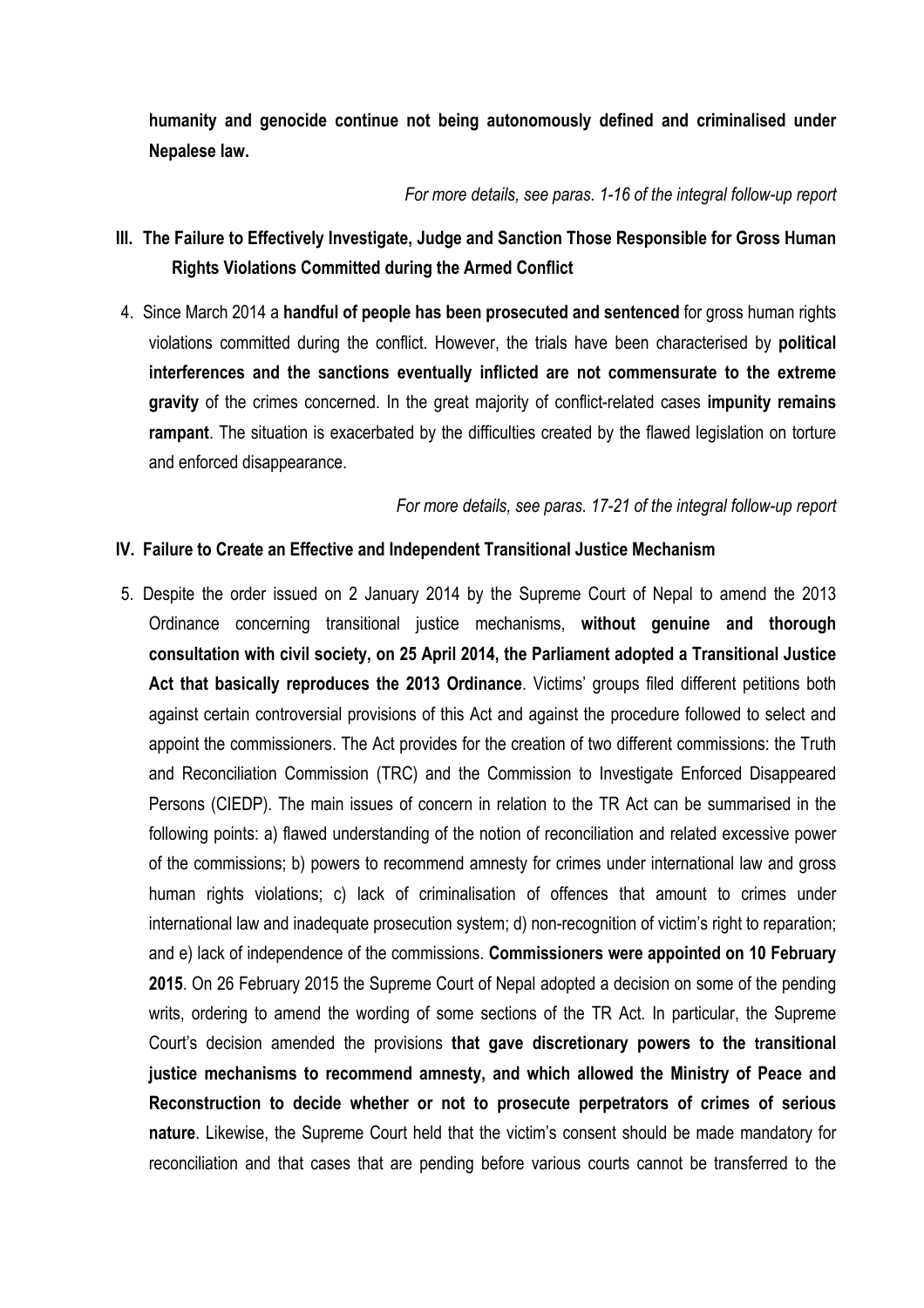**humanity and genocide continue not being autonomously defined and criminalised under Nepalese law.**

*For more details, see paras. 1-16 of the integral follow-up report*

# **III. The Failure to Effectively Investigate, Judge and Sanction Those Responsible for Gross Human Rights Violations Committed during the Armed Conflict**

4. Since March 2014 a **handful of people has been prosecuted and sentenced** for gross human rights violations committed during the conflict. However, the trials have been characterised by **political interferences and the sanctions eventually inflicted are not commensurate to the extreme gravity** of the crimes concerned. In the great majority of conflict-related cases **impunity remains rampant**. The situation is exacerbated by the difficulties created by the flawed legislation on torture and enforced disappearance.

*For more details, see paras. 17-21 of the integral follow-up report*

### **IV. Failure to Create an Effective and Independent Transitional Justice Mechanism**

5. Despite the order issued on 2 January 2014 by the Supreme Court of Nepal to amend the 2013 Ordinance concerning transitional justice mechanisms, **without genuine and thorough consultation with civil society, on 25 April 2014, the Parliament adopted a Transitional Justice Act that basically reproduces the 2013 Ordinance**. Victims' groups filed different petitions both against certain controversial provisions of this Act and against the procedure followed to select and appoint the commissioners. The Act provides for the creation of two different commissions: the Truth and Reconciliation Commission (TRC) and the Commission to Investigate Enforced Disappeared Persons (CIEDP). The main issues of concern in relation to the TR Act can be summarised in the following points: a) flawed understanding of the notion of reconciliation and related excessive power of the commissions; b) powers to recommend amnesty for crimes under international law and gross human rights violations; c) lack of criminalisation of offences that amount to crimes under international law and inadequate prosecution system; d) non-recognition of victim's right to reparation; and e) lack of independence of the commissions. **Commissioners were appointed on 10 February 2015**. On 26 February 2015 the Supreme Court of Nepal adopted a decision on some of the pending writs, ordering to amend the wording of some sections of the TR Act. In particular, the Supreme Court's decision amended the provisions **that gave discretionary powers to the transitional justice mechanisms to recommend amnesty, and which allowed the Ministry of Peace and Reconstruction to decide whether or not to prosecute perpetrators of crimes of serious nature**. Likewise, the Supreme Court held that the victim's consent should be made mandatory for reconciliation and that cases that are pending before various courts cannot be transferred to the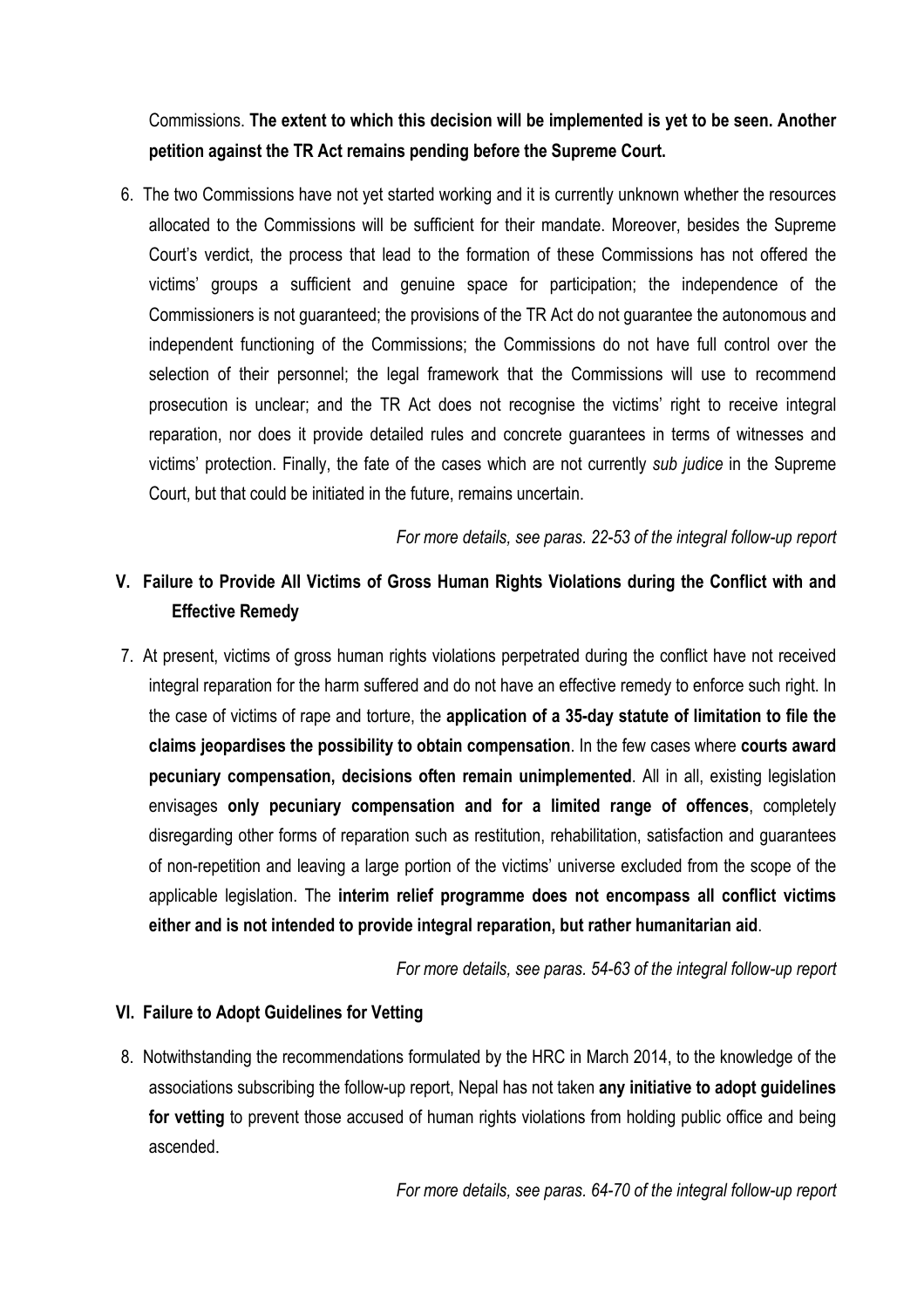Commissions. **The extent to which this decision will be implemented is yet to be seen. Another petition against the TR Act remains pending before the Supreme Court.**

6. The two Commissions have not yet started working and it is currently unknown whether the resources allocated to the Commissions will be sufficient for their mandate. Moreover, besides the Supreme Court's verdict, the process that lead to the formation of these Commissions has not offered the victims' groups a sufficient and genuine space for participation; the independence of the Commissioners is not guaranteed; the provisions of the TR Act do not guarantee the autonomous and independent functioning of the Commissions; the Commissions do not have full control over the selection of their personnel; the legal framework that the Commissions will use to recommend prosecution is unclear; and the TR Act does not recognise the victims' right to receive integral reparation, nor does it provide detailed rules and concrete guarantees in terms of witnesses and victims' protection. Finally, the fate of the cases which are not currently *sub judice* in the Supreme Court, but that could be initiated in the future, remains uncertain.

*For more details, see paras. 22-53 of the integral follow-up report*

# **V. Failure to Provide All Victims of Gross Human Rights Violations during the Conflict with and Effective Remedy**

7. At present, victims of gross human rights violations perpetrated during the conflict have not received integral reparation for the harm suffered and do not have an effective remedy to enforce such right. In the case of victims of rape and torture, the **application of a 35-day statute of limitation to file the claims jeopardises the possibility to obtain compensation**. In the few cases where **courts award pecuniary compensation, decisions often remain unimplemented**. All in all, existing legislation envisages **only pecuniary compensation and for a limited range of offences**, completely disregarding other forms of reparation such as restitution, rehabilitation, satisfaction and guarantees of non-repetition and leaving a large portion of the victims' universe excluded from the scope of the applicable legislation. The **interim relief programme does not encompass all conflict victims either and is not intended to provide integral reparation, but rather humanitarian aid**.

*For more details, see paras. 54-63 of the integral follow-up report*

### **VI. Failure to Adopt Guidelines for Vetting**

8. Notwithstanding the recommendations formulated by the HRC in March 2014, to the knowledge of the associations subscribing the follow-up report, Nepal has not taken **any initiative to adopt guidelines for vetting** to prevent those accused of human rights violations from holding public office and being ascended.

*For more details, see paras. 64-70 of the integral follow-up report*